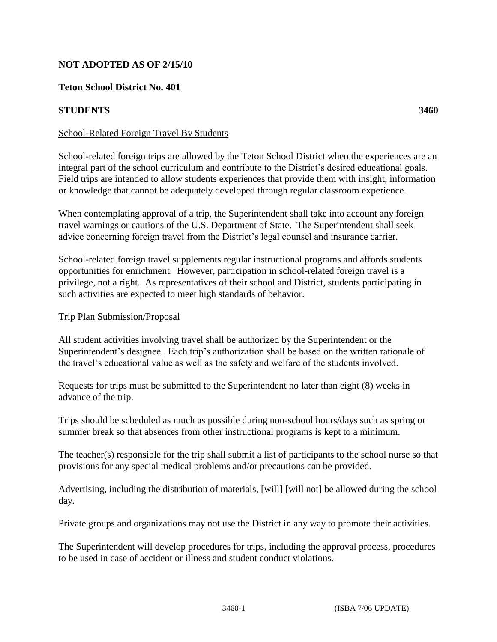## **NOT ADOPTED AS OF 2/15/10**

### **Teton School District No. 401**

### **STUDENTS 3460**

### School-Related Foreign Travel By Students

School-related foreign trips are allowed by the Teton School District when the experiences are an integral part of the school curriculum and contribute to the District's desired educational goals. Field trips are intended to allow students experiences that provide them with insight, information or knowledge that cannot be adequately developed through regular classroom experience.

When contemplating approval of a trip, the Superintendent shall take into account any foreign travel warnings or cautions of the U.S. Department of State. The Superintendent shall seek advice concerning foreign travel from the District's legal counsel and insurance carrier.

School-related foreign travel supplements regular instructional programs and affords students opportunities for enrichment. However, participation in school-related foreign travel is a privilege, not a right. As representatives of their school and District, students participating in such activities are expected to meet high standards of behavior.

#### Trip Plan Submission/Proposal

All student activities involving travel shall be authorized by the Superintendent or the Superintendent's designee. Each trip's authorization shall be based on the written rationale of the travel's educational value as well as the safety and welfare of the students involved.

Requests for trips must be submitted to the Superintendent no later than eight (8) weeks in advance of the trip.

Trips should be scheduled as much as possible during non-school hours/days such as spring or summer break so that absences from other instructional programs is kept to a minimum.

The teacher(s) responsible for the trip shall submit a list of participants to the school nurse so that provisions for any special medical problems and/or precautions can be provided.

Advertising, including the distribution of materials, [will] [will not] be allowed during the school day.

Private groups and organizations may not use the District in any way to promote their activities.

The Superintendent will develop procedures for trips, including the approval process, procedures to be used in case of accident or illness and student conduct violations.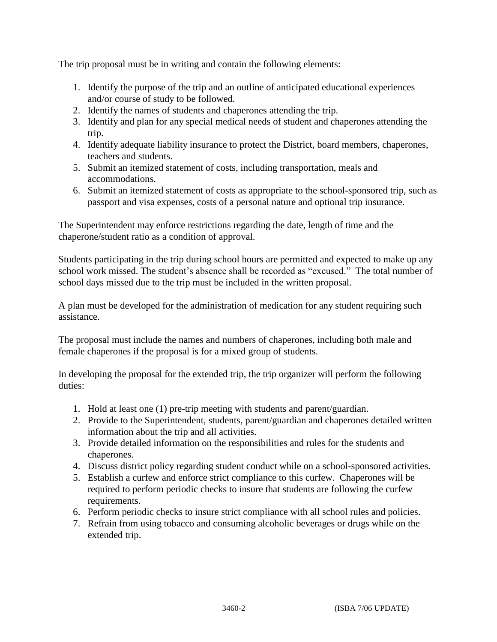The trip proposal must be in writing and contain the following elements:

- 1. Identify the purpose of the trip and an outline of anticipated educational experiences and/or course of study to be followed.
- 2. Identify the names of students and chaperones attending the trip.
- 3. Identify and plan for any special medical needs of student and chaperones attending the trip.
- 4. Identify adequate liability insurance to protect the District, board members, chaperones, teachers and students.
- 5. Submit an itemized statement of costs, including transportation, meals and accommodations.
- 6. Submit an itemized statement of costs as appropriate to the school-sponsored trip, such as passport and visa expenses, costs of a personal nature and optional trip insurance.

The Superintendent may enforce restrictions regarding the date, length of time and the chaperone/student ratio as a condition of approval.

Students participating in the trip during school hours are permitted and expected to make up any school work missed. The student's absence shall be recorded as "excused." The total number of school days missed due to the trip must be included in the written proposal.

A plan must be developed for the administration of medication for any student requiring such assistance.

The proposal must include the names and numbers of chaperones, including both male and female chaperones if the proposal is for a mixed group of students.

In developing the proposal for the extended trip, the trip organizer will perform the following duties:

- 1. Hold at least one (1) pre-trip meeting with students and parent/guardian.
- 2. Provide to the Superintendent, students, parent/guardian and chaperones detailed written information about the trip and all activities.
- 3. Provide detailed information on the responsibilities and rules for the students and chaperones.
- 4. Discuss district policy regarding student conduct while on a school-sponsored activities.
- 5. Establish a curfew and enforce strict compliance to this curfew. Chaperones will be required to perform periodic checks to insure that students are following the curfew requirements.
- 6. Perform periodic checks to insure strict compliance with all school rules and policies.
- 7. Refrain from using tobacco and consuming alcoholic beverages or drugs while on the extended trip.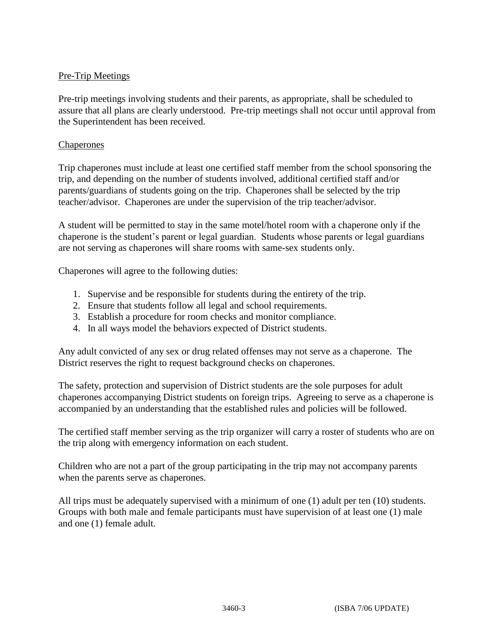# Pre-Trip Meetings

Pre-trip meetings involving students and their parents, as appropriate, shall be scheduled to assure that all plans are clearly understood. Pre-trip meetings shall not occur until approval from the Superintendent has been received.

#### Chaperones

Trip chaperones must include at least one certified staff member from the school sponsoring the trip, and depending on the number of students involved, additional certified staff and/or parents/guardians of students going on the trip. Chaperones shall be selected by the trip teacher/advisor. Chaperones are under the supervision of the trip teacher/advisor.

A student will be permitted to stay in the same motel/hotel room with a chaperone only if the chaperone is the student's parent or legal guardian. Students whose parents or legal guardians are not serving as chaperones will share rooms with same-sex students only.

Chaperones will agree to the following duties:

- 1. Supervise and be responsible for students during the entirety of the trip.
- 2. Ensure that students follow all legal and school requirements.
- 3. Establish a procedure for room checks and monitor compliance.
- 4. In all ways model the behaviors expected of District students.

Any adult convicted of any sex or drug related offenses may not serve as a chaperone. The District reserves the right to request background checks on chaperones.

The safety, protection and supervision of District students are the sole purposes for adult chaperones accompanying District students on foreign trips. Agreeing to serve as a chaperone is accompanied by an understanding that the established rules and policies will be followed.

The certified staff member serving as the trip organizer will carry a roster of students who are on the trip along with emergency information on each student.

Children who are not a part of the group participating in the trip may not accompany parents when the parents serve as chaperones.

All trips must be adequately supervised with a minimum of one (1) adult per ten (10) students. Groups with both male and female participants must have supervision of at least one (1) male and one (1) female adult.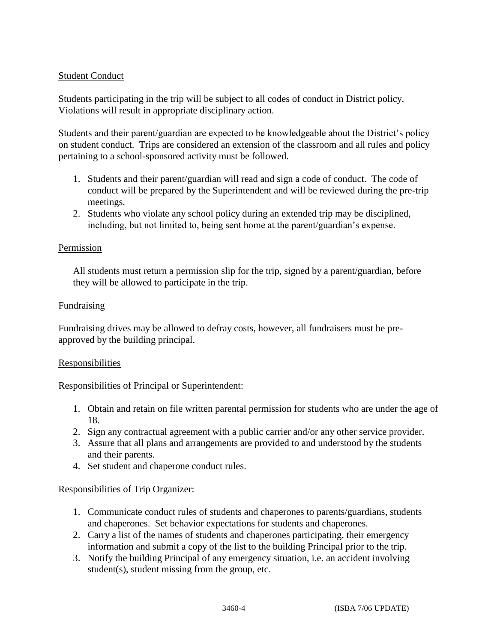# Student Conduct

Students participating in the trip will be subject to all codes of conduct in District policy. Violations will result in appropriate disciplinary action.

Students and their parent/guardian are expected to be knowledgeable about the District's policy on student conduct. Trips are considered an extension of the classroom and all rules and policy pertaining to a school-sponsored activity must be followed.

- 1. Students and their parent/guardian will read and sign a code of conduct. The code of conduct will be prepared by the Superintendent and will be reviewed during the pre-trip meetings.
- 2. Students who violate any school policy during an extended trip may be disciplined, including, but not limited to, being sent home at the parent/guardian's expense.

#### Permission

All students must return a permission slip for the trip, signed by a parent/guardian, before they will be allowed to participate in the trip.

#### **Fundraising**

Fundraising drives may be allowed to defray costs, however, all fundraisers must be preapproved by the building principal.

#### Responsibilities

Responsibilities of Principal or Superintendent:

- 1. Obtain and retain on file written parental permission for students who are under the age of 18.
- 2. Sign any contractual agreement with a public carrier and/or any other service provider.
- 3. Assure that all plans and arrangements are provided to and understood by the students and their parents.
- 4. Set student and chaperone conduct rules.

Responsibilities of Trip Organizer:

- 1. Communicate conduct rules of students and chaperones to parents/guardians, students and chaperones. Set behavior expectations for students and chaperones.
- 2. Carry a list of the names of students and chaperones participating, their emergency information and submit a copy of the list to the building Principal prior to the trip.
- 3. Notify the building Principal of any emergency situation, i.e. an accident involving student(s), student missing from the group, etc.